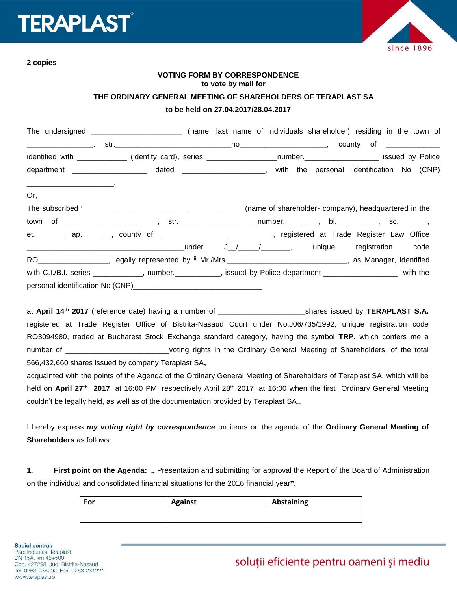# **ERAPLAST**



**2 copies**

# **VOTING FORM BY CORRESPONDENCE to vote by mail for**

#### **THE ORDINARY GENERAL MEETING OF SHAREHOLDERS OF TERAPLAST SA**

#### **to be held on 27.04.2017/28.04.2017**

|                                                                                                                                                                                                                                             | The undersigned _______________________________ (name, last name of individuals shareholder) residing in the town of |  |  |  |
|---------------------------------------------------------------------------------------------------------------------------------------------------------------------------------------------------------------------------------------------|----------------------------------------------------------------------------------------------------------------------|--|--|--|
| $\overbrace{\hspace{2.5cm}}$ , and the contract of the contract of the contract of the contract of the contract of the contract of the contract of the contract of the contract of the contract of the contract of the contract of the cont |                                                                                                                      |  |  |  |
|                                                                                                                                                                                                                                             | identified with ____________ (identity card), series __________________number.___________________ issued by Police   |  |  |  |
|                                                                                                                                                                                                                                             | department ______________________ dated _____________________, with the personal identification No (CNP)             |  |  |  |
| Or,                                                                                                                                                                                                                                         |                                                                                                                      |  |  |  |
|                                                                                                                                                                                                                                             |                                                                                                                      |  |  |  |
|                                                                                                                                                                                                                                             | town of _________________________, str.________________________number.___________, bl.____________, sc.________,     |  |  |  |
|                                                                                                                                                                                                                                             | et. _______, ap. _______, county of ______________________________, registered at Trade Register Law Office          |  |  |  |
|                                                                                                                                                                                                                                             |                                                                                                                      |  |  |  |
|                                                                                                                                                                                                                                             | RO__________________, legally represented by " Mr./Mrs.______________________________, as Manager, identified        |  |  |  |
|                                                                                                                                                                                                                                             | with C.I./B.I. series ____________, number.__________, issued by Police department ________________, with the        |  |  |  |
|                                                                                                                                                                                                                                             |                                                                                                                      |  |  |  |

at April 14<sup>th</sup> 2017 (reference date) having a number of \_\_\_\_\_\_\_\_\_\_\_\_\_\_\_\_\_\_\_\_\_\_\_\_shares issued by TERAPLAST S.A. registered at Trade Register Office of Bistrita-Nasaud Court under No.J06/735/1992, unique registration code RO3094980, traded at Bucharest Stock Exchange standard category, having the symbol **TRP,** which confers me a number of **Example 20** voting rights in the Ordinary General Meeting of Shareholders, of the total 566,432,660 shares issued by company Teraplast SA**,**

acquainted with the points of the Agenda of the Ordinary General Meeting of Shareholders of Teraplast SA, which will be held on April 27<sup>th</sup> 2017, at 16:00 PM, respectively April 28<sup>th</sup> 2017, at 16:00 when the first Ordinary General Meeting couldn't be legally held, as well as of the documentation provided by Teraplast SA.,

I hereby express *my voting right by correspondence* on items on the agenda of the **Ordinary General Meeting of Shareholders** as follows:

1. **First point on the Agenda:** " Presentation and submitting for approval the Report of the Board of Administration on the individual and consolidated financial situations for the 2016 financial year**".**

| For | <b>Against</b> | Abstaining |
|-----|----------------|------------|
|     |                |            |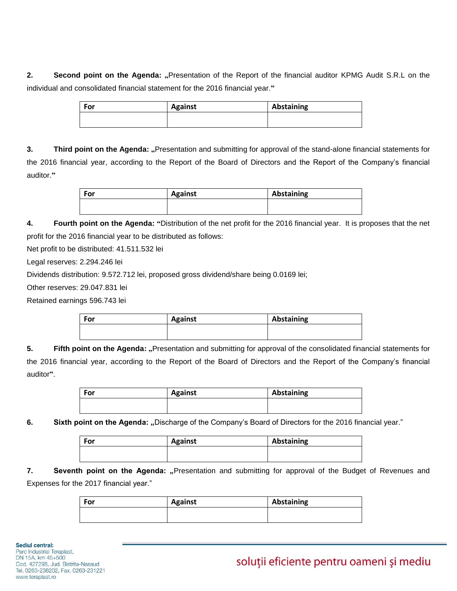**2. Second point on the Agenda:** "Presentation of the Report of the financial auditor KPMG Audit S.R.L on the individual and consolidated financial statement for the 2016 financial year.**"**

| For | <b>Against</b> | Abstaining |
|-----|----------------|------------|
|     |                |            |

**3. Third point on the Agenda: "**Presentation and submitting for approval of the stand-alone financial statements for the 2016 financial year, according to the Report of the Board of Directors and the Report of the Company's financial auditor.**"**

| For | <b>Against</b> | Abstaining |
|-----|----------------|------------|
|     |                |            |

**4. Fourth point on the Agenda: "**Distribution of the net profit for the 2016 financial year. It is proposes that the net profit for the 2016 financial year to be distributed as follows:

Net profit to be distributed: 41.511.532 lei

Legal reserves: 2.294.246 lei

Dividends distribution: 9.572.712 lei, proposed gross dividend/share being 0.0169 lei;

Other reserves: 29.047.831 lei

Retained earnings 596.743 lei

| For | <b>Against</b> | Abstaining |
|-----|----------------|------------|
|     |                |            |
|     |                |            |

**5. Fifth point on the Agenda:** "Presentation and submitting for approval of the consolidated financial statements for the 2016 financial year, according to the Report of the Board of Directors and the Report of the Company's financial auditor**"**.

| For | <b>Against</b> | Abstaining |
|-----|----------------|------------|
|     |                |            |
|     |                |            |

**6. Sixth point on the Agenda:** "Discharge of the Company's Board of Directors for the 2016 financial year."

| For | <b>Against</b> | Abstaining |
|-----|----------------|------------|
|     |                |            |

**7. Seventh point on the Agenda:** "Presentation and submitting for approval of the Budget of Revenues and Expenses for the 2017 financial year."

| For | <b>Against</b> | Abstaining |
|-----|----------------|------------|
|     |                |            |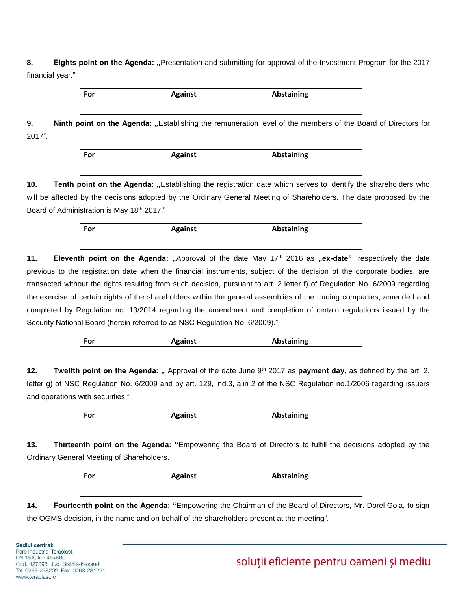# **8. Eights point on the Agenda: "**Presentation and submitting for approval of the Investment Program for the 2017 financial year."

| For | <b>Against</b> | Abstaining |
|-----|----------------|------------|
|     |                |            |

**9. Ninth point on the Agenda:** "Establishing the remuneration level of the members of the Board of Directors for 2017".

| For | <b>Against</b> | Abstaining |
|-----|----------------|------------|
|     |                |            |

10. **Tenth point on the Agenda:** "Establishing the registration date which serves to identify the shareholders who will be affected by the decisions adopted by the Ordinary General Meeting of Shareholders. The date proposed by the Board of Administration is May 18th 2017."

| For | <b>Against</b> | Abstaining |
|-----|----------------|------------|
|     |                |            |

**11. Eleventh point on the Agenda:** "Approval of the date May 17<sup>th</sup> 2016 as "ex-date", respectively the date previous to the registration date when the financial instruments, subject of the decision of the corporate bodies, are transacted without the rights resulting from such decision, pursuant to art. 2 letter f) of Regulation No. 6/2009 regarding the exercise of certain rights of the shareholders within the general assemblies of the trading companies, amended and completed by Regulation no. 13/2014 regarding the amendment and completion of certain regulations issued by the Security National Board (herein referred to as NSC Regulation No. 6/2009)."

| For | <b>Against</b> | Abstaining |
|-----|----------------|------------|
|     |                |            |

**12. Twelfth point on the Agenda:** " Approval of the date June 9<sup>th</sup> 2017 as **payment day**, as defined by the art. 2, letter g) of NSC Regulation No. 6/2009 and by art. 129, ind.3, alin 2 of the NSC Regulation no.1/2006 regarding issuers and operations with securities."

| For | <b>Against</b> | Abstaining |
|-----|----------------|------------|
|     |                |            |

**13. Thirteenth point on the Agenda: "**Empowering the Board of Directors to fulfill the decisions adopted by the Ordinary General Meeting of Shareholders.

| For | <b>Against</b> | Abstaining |
|-----|----------------|------------|
|     |                |            |

**14. Fourteenth point on the Agenda: "**Empowering the Chairman of the Board of Directors, Mr. Dorel Goia, to sign the OGMS decision, in the name and on behalf of the shareholders present at the meeting".